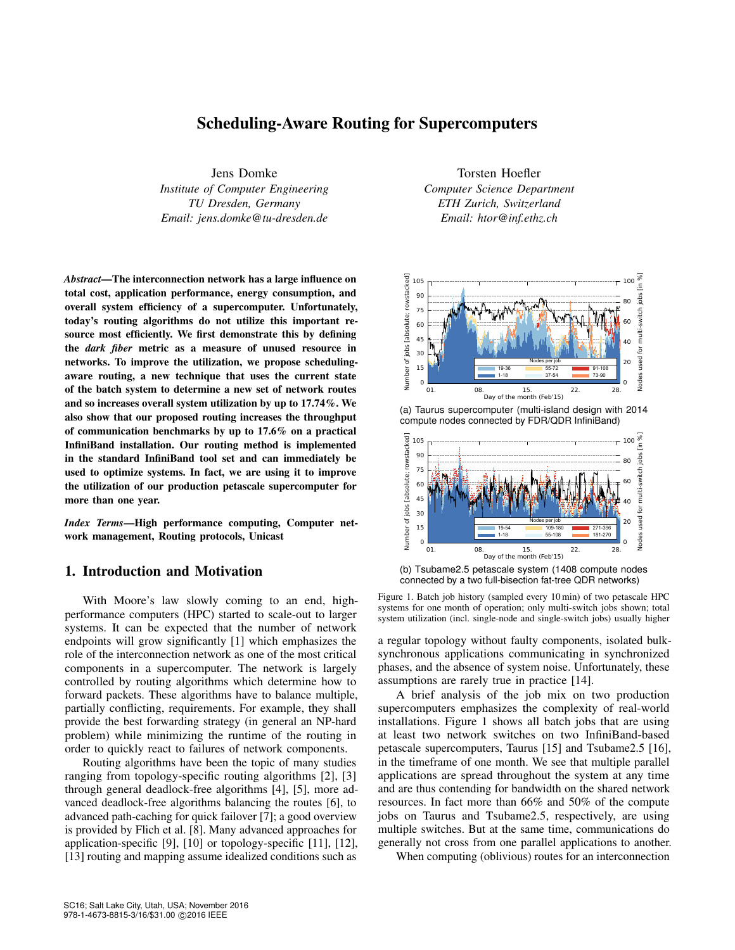# Scheduling-Aware Routing for Supercomputers

Jens Domke *Institute of Computer Engineering TU Dresden, Germany Email: jens.domke@tu-dresden.de*

*Abstract*—The interconnection network has a large influence on total cost, application performance, energy consumption, and overall system efficiency of a supercomputer. Unfortunately, today's routing algorithms do not utilize this important resource most efficiently. We first demonstrate this by defining the *dark fiber* metric as a measure of unused resource in networks. To improve the utilization, we propose schedulingaware routing, a new technique that uses the current state of the batch system to determine a new set of network routes and so increases overall system utilization by up to 17.74%. We also show that our proposed routing increases the throughput of communication benchmarks by up to 17.6% on a practical InfiniBand installation. Our routing method is implemented in the standard InfiniBand tool set and can immediately be used to optimize systems. In fact, we are using it to improve the utilization of our production petascale supercomputer for more than one year.

*Index Terms*—High performance computing, Computer network management, Routing protocols, Unicast

# 1. Introduction and Motivation

With Moore's law slowly coming to an end, highperformance computers (HPC) started to scale-out to larger systems. It can be expected that the number of network endpoints will grow significantly [1] which emphasizes the role of the interconnection network as one of the most critical components in a supercomputer. The network is largely controlled by routing algorithms which determine how to forward packets. These algorithms have to balance multiple, partially conflicting, requirements. For example, they shall provide the best forwarding strategy (in general an NP-hard problem) while minimizing the runtime of the routing in order to quickly react to failures of network components.

Routing algorithms have been the topic of many studies ranging from topology-specific routing algorithms [2], [3] through general deadlock-free algorithms [4], [5], more advanced deadlock-free algorithms balancing the routes [6], to advanced path-caching for quick failover [7]; a good overview is provided by Flich et al. [8]. Many advanced approaches for application-specific [9], [10] or topology-specific [11], [12], [13] routing and mapping assume idealized conditions such as

Torsten Hoefler *Computer Science Department ETH Zurich, Switzerland Email: htor@inf.ethz.ch*



(a) Taurus supercomputer (multi-island design with 2014 compute nodes connected by FDR/QDR InfiniBand)



(b) Tsubame2.5 petascale system (1408 compute nodes connected by a two full-bisection fat-tree QDR networks)

Figure 1. Batch job history (sampled every 10 min) of two petascale HPC systems for one month of operation; only multi-switch jobs shown; total system utilization (incl. single-node and single-switch jobs) usually higher

a regular topology without faulty components, isolated bulksynchronous applications communicating in synchronized phases, and the absence of system noise. Unfortunately, these assumptions are rarely true in practice [14].

A brief analysis of the job mix on two production supercomputers emphasizes the complexity of real-world installations. Figure 1 shows all batch jobs that are using at least two network switches on two InfiniBand-based petascale supercomputers, Taurus [15] and Tsubame2.5 [16], in the timeframe of one month. We see that multiple parallel applications are spread throughout the system at any time and are thus contending for bandwidth on the shared network resources. In fact more than 66% and 50% of the compute jobs on Taurus and Tsubame2.5, respectively, are using multiple switches. But at the same time, communications do generally not cross from one parallel applications to another.

When computing (oblivious) routes for an interconnection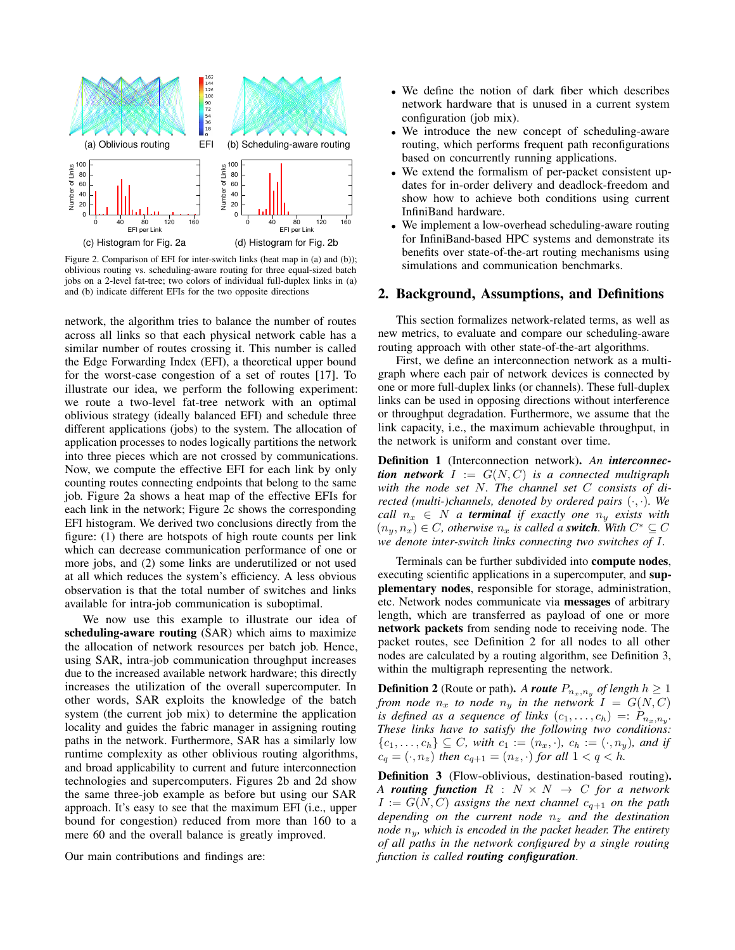

Figure 2. Comparison of EFI for inter-switch links (heat map in (a) and (b)); oblivious routing vs. scheduling-aware routing for three equal-sized batch jobs on a 2-level fat-tree; two colors of individual full-duplex links in (a) and (b) indicate different EFIs for the two opposite directions

network, the algorithm tries to balance the number of routes across all links so that each physical network cable has a similar number of routes crossing it. This number is called the Edge Forwarding Index (EFI), a theoretical upper bound for the worst-case congestion of a set of routes [17]. To illustrate our idea, we perform the following experiment: we route a two-level fat-tree network with an optimal oblivious strategy (ideally balanced EFI) and schedule three different applications (jobs) to the system. The allocation of application processes to nodes logically partitions the network into three pieces which are not crossed by communications. Now, we compute the effective EFI for each link by only counting routes connecting endpoints that belong to the same job. Figure 2a shows a heat map of the effective EFIs for each link in the network; Figure 2c shows the corresponding EFI histogram. We derived two conclusions directly from the figure: (1) there are hotspots of high route counts per link which can decrease communication performance of one or more jobs, and (2) some links are underutilized or not used at all which reduces the system's efficiency. A less obvious observation is that the total number of switches and links available for intra-job communication is suboptimal.

We now use this example to illustrate our idea of scheduling-aware routing (SAR) which aims to maximize the allocation of network resources per batch job. Hence, using SAR, intra-job communication throughput increases due to the increased available network hardware; this directly increases the utilization of the overall supercomputer. In other words, SAR exploits the knowledge of the batch system (the current job mix) to determine the application locality and guides the fabric manager in assigning routing paths in the network. Furthermore, SAR has a similarly low runtime complexity as other oblivious routing algorithms, and broad applicability to current and future interconnection technologies and supercomputers. Figures 2b and 2d show the same three-job example as before but using our SAR approach. It's easy to see that the maximum EFI (i.e., upper bound for congestion) reduced from more than 160 to a mere 60 and the overall balance is greatly improved.

Our main contributions and findings are:

- We define the notion of dark fiber which describes network hardware that is unused in a current system configuration (job mix).
- We introduce the new concept of scheduling-aware routing, which performs frequent path reconfigurations based on concurrently running applications.
- We extend the formalism of per-packet consistent updates for in-order delivery and deadlock-freedom and show how to achieve both conditions using current InfiniBand hardware.
- We implement a low-overhead scheduling-aware routing for InfiniBand-based HPC systems and demonstrate its benefits over state-of-the-art routing mechanisms using simulations and communication benchmarks.

### 2. Background, Assumptions, and Definitions

This section formalizes network-related terms, as well as new metrics, to evaluate and compare our scheduling-aware routing approach with other state-of-the-art algorithms.

First, we define an interconnection network as a multigraph where each pair of network devices is connected by one or more full-duplex links (or channels). These full-duplex links can be used in opposing directions without interference or throughput degradation. Furthermore, we assume that the link capacity, i.e., the maximum achievable throughput, in the network is uniform and constant over time.

Definition 1 (Interconnection network). *An interconnection network*  $I := G(N, C)$  *is a connected multigraph with the node set* N*. The channel set* C *consists of directed (multi-)channels, denoted by ordered pairs* (·, ·)*. We call*  $n_x \in N$  *a terminal if exactly one*  $n_y$  *exists with*  $(n_y, n_x) \in C$ , otherwise  $n_x$  is called a **switch**. With  $C^* \subseteq C$ *we denote inter-switch links connecting two switches of* I*.*

Terminals can be further subdivided into compute nodes, executing scientific applications in a supercomputer, and supplementary nodes, responsible for storage, administration, etc. Network nodes communicate via messages of arbitrary length, which are transferred as payload of one or more network packets from sending node to receiving node. The packet routes, see Definition 2 for all nodes to all other nodes are calculated by a routing algorithm, see Definition 3, within the multigraph representing the network.

**Definition 2** (Route or path). *A route*  $P_{n_x,n_y}$  *of length*  $h \geq 1$ *from node*  $n_x$  *to node*  $n_y$  *in the network*  $I = G(N, C)$ *is defined as a sequence of links*  $(c_1, \ldots, c_h) =: P_{n_x, n_y}$ . *These links have to satisfy the following two conditions:*  ${c_1, \ldots, c_h} \subseteq C$ *, with*  $c_1 := (n_x, \cdot), c_h := (\cdot, n_y)$ *, and if*  $c_q = (\cdot, n_z)$  *then*  $c_{q+1} = (n_z, \cdot)$  *for all*  $1 < q < h$ *.* 

Definition 3 (Flow-oblivious, destination-based routing). *A routing function*  $R : N \times N \rightarrow C$  *for a network*  $I := G(N, C)$  *assigns the next channel*  $c_{q+1}$  *on the path depending on the current node*  $n_z$  *and the destination node* ny*, which is encoded in the packet header. The entirety of all paths in the network configured by a single routing function is called routing configuration.*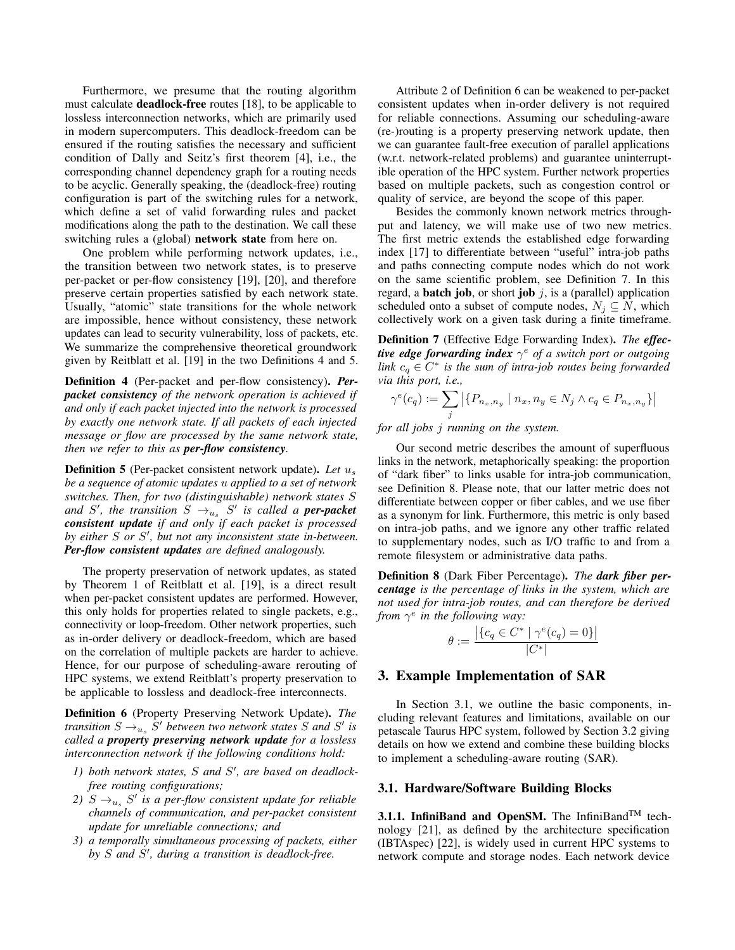Furthermore, we presume that the routing algorithm must calculate deadlock-free routes [18], to be applicable to lossless interconnection networks, which are primarily used in modern supercomputers. This deadlock-freedom can be ensured if the routing satisfies the necessary and sufficient condition of Dally and Seitz's first theorem [4], i.e., the corresponding channel dependency graph for a routing needs to be acyclic. Generally speaking, the (deadlock-free) routing configuration is part of the switching rules for a network, which define a set of valid forwarding rules and packet modifications along the path to the destination. We call these switching rules a (global) network state from here on.

One problem while performing network updates, i.e., the transition between two network states, is to preserve per-packet or per-flow consistency [19], [20], and therefore preserve certain properties satisfied by each network state. Usually, "atomic" state transitions for the whole network are impossible, hence without consistency, these network updates can lead to security vulnerability, loss of packets, etc. We summarize the comprehensive theoretical groundwork given by Reitblatt et al. [19] in the two Definitions 4 and 5.

Definition 4 (Per-packet and per-flow consistency). *Perpacket consistency of the network operation is achieved if and only if each packet injected into the network is processed by exactly one network state. If all packets of each injected message or flow are processed by the same network state, then we refer to this as per-flow consistency.*

Definition 5 (Per-packet consistent network update). *Let* u<sup>s</sup> *be a sequence of atomic updates* u *applied to a set of network switches. Then, for two (distinguishable) network states* S and  $S'$ , the transition  $S \rightarrow u_s$   $S'$  is called a **per-packet** *consistent update if and only if each packet is processed by either* S *or* S 0 *, but not any inconsistent state in-between. Per-flow consistent updates are defined analogously.*

The property preservation of network updates, as stated by Theorem 1 of Reitblatt et al. [19], is a direct result when per-packet consistent updates are performed. However, this only holds for properties related to single packets, e.g., connectivity or loop-freedom. Other network properties, such as in-order delivery or deadlock-freedom, which are based on the correlation of multiple packets are harder to achieve. Hence, for our purpose of scheduling-aware rerouting of HPC systems, we extend Reitblatt's property preservation to be applicable to lossless and deadlock-free interconnects.

Definition 6 (Property Preserving Network Update). *The transition*  $S \rightarrow_{u_s} S'$  *between two network states*  $S$  *and*  $S'$  *is called a property preserving network update for a lossless interconnection network if the following conditions hold:*

- 1) both network states, S and S', are based on deadlock*free routing configurations;*
- 2)  $S \rightarrow_{u_s} S'$  is a per-flow consistent update for reliable *channels of communication, and per-packet consistent update for unreliable connections; and*
- *3) a temporally simultaneous processing of packets, either by* S *and* S 0 *, during a transition is deadlock-free.*

Attribute 2 of Definition 6 can be weakened to per-packet consistent updates when in-order delivery is not required for reliable connections. Assuming our scheduling-aware (re-)routing is a property preserving network update, then we can guarantee fault-free execution of parallel applications (w.r.t. network-related problems) and guarantee uninterruptible operation of the HPC system. Further network properties based on multiple packets, such as congestion control or quality of service, are beyond the scope of this paper.

Besides the commonly known network metrics throughput and latency, we will make use of two new metrics. The first metric extends the established edge forwarding index [17] to differentiate between "useful" intra-job paths and paths connecting compute nodes which do not work on the same scientific problem, see Definition 7. In this regard, a **batch job**, or short **job**  $j$ , is a (parallel) application scheduled onto a subset of compute nodes,  $N_j \subseteq N$ , which collectively work on a given task during a finite timeframe.

Definition 7 (Effective Edge Forwarding Index). *The effective edge forwarding index* γ <sup>e</sup> *of a switch port or outgoing link*  $c_q \in C^*$  *is the sum of intra-job routes being forwarded via this port, i.e.,*

$$
\gamma^{e}(c_{q}) := \sum_{j} | \{ P_{n_{x},n_{y}} \mid n_{x}, n_{y} \in N_{j} \land c_{q} \in P_{n_{x},n_{y}} \} |
$$

*for all jobs* j *running on the system.*

Our second metric describes the amount of superfluous links in the network, metaphorically speaking: the proportion of "dark fiber" to links usable for intra-job communication, see Definition 8. Please note, that our latter metric does not differentiate between copper or fiber cables, and we use fiber as a synonym for link. Furthermore, this metric is only based on intra-job paths, and we ignore any other traffic related to supplementary nodes, such as I/O traffic to and from a remote filesystem or administrative data paths.

Definition 8 (Dark Fiber Percentage). *The dark fiber percentage is the percentage of links in the system, which are not used for intra-job routes, and can therefore be derived from*  $\gamma^e$  *in the following way:* 

$$
\theta := \frac{| \{ c_q \in C^* \mid \gamma^e(c_q) = 0 \} |}{|C^*|}
$$

### 3. Example Implementation of SAR

In Section 3.1, we outline the basic components, including relevant features and limitations, available on our petascale Taurus HPC system, followed by Section 3.2 giving details on how we extend and combine these building blocks to implement a scheduling-aware routing (SAR).

### 3.1. Hardware/Software Building Blocks

3.1.1. InfiniBand and OpenSM. The InfiniBand<sup>TM</sup> technology [21], as defined by the architecture specification (IBTAspec) [22], is widely used in current HPC systems to network compute and storage nodes. Each network device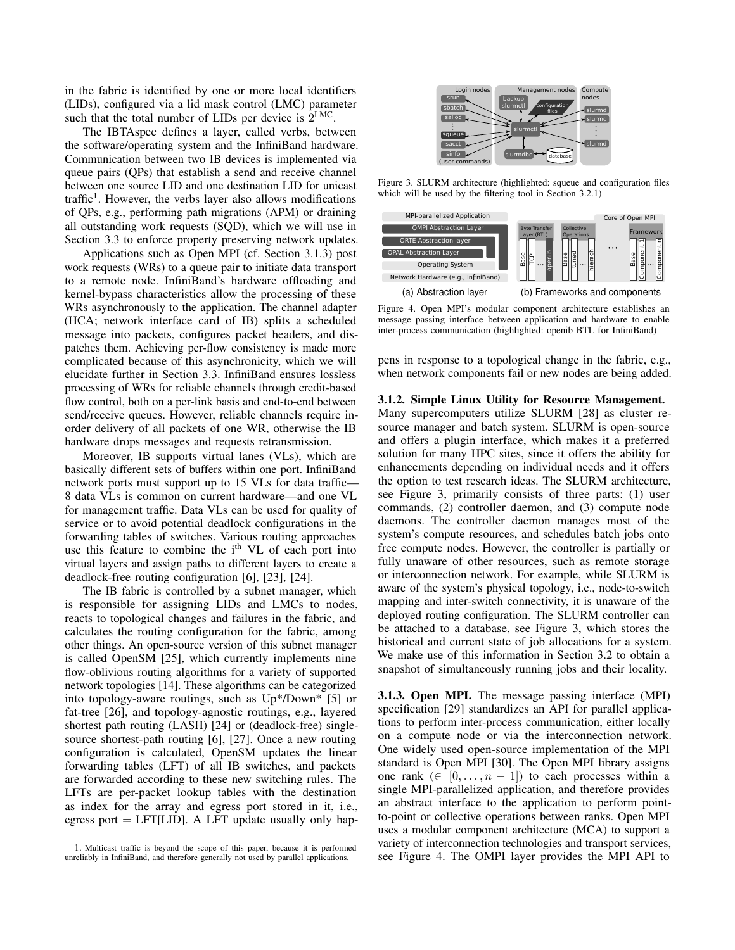in the fabric is identified by one or more local identifiers (LIDs), configured via a lid mask control (LMC) parameter such that the total number of LIDs per device is  $2^{\text{LMC}}$ .

The IBTAspec defines a layer, called verbs, between the software/operating system and the InfiniBand hardware. Communication between two IB devices is implemented via queue pairs (QPs) that establish a send and receive channel between one source LID and one destination LID for unicast traffic<sup>1</sup>. However, the verbs layer also allows modifications of QPs, e.g., performing path migrations (APM) or draining all outstanding work requests (SQD), which we will use in Section 3.3 to enforce property preserving network updates.

Applications such as Open MPI (cf. Section 3.1.3) post work requests (WRs) to a queue pair to initiate data transport to a remote node. InfiniBand's hardware offloading and kernel-bypass characteristics allow the processing of these WRs asynchronously to the application. The channel adapter (HCA; network interface card of IB) splits a scheduled message into packets, configures packet headers, and dispatches them. Achieving per-flow consistency is made more complicated because of this asynchronicity, which we will elucidate further in Section 3.3. InfiniBand ensures lossless processing of WRs for reliable channels through credit-based flow control, both on a per-link basis and end-to-end between send/receive queues. However, reliable channels require inorder delivery of all packets of one WR, otherwise the IB hardware drops messages and requests retransmission.

Moreover, IB supports virtual lanes (VLs), which are basically different sets of buffers within one port. InfiniBand network ports must support up to 15 VLs for data traffic— 8 data VLs is common on current hardware—and one VL for management traffic. Data VLs can be used for quality of service or to avoid potential deadlock configurations in the forwarding tables of switches. Various routing approaches use this feature to combine the i<sup>th</sup> VL of each port into virtual layers and assign paths to different layers to create a deadlock-free routing configuration [6], [23], [24].

The IB fabric is controlled by a subnet manager, which is responsible for assigning LIDs and LMCs to nodes, reacts to topological changes and failures in the fabric, and calculates the routing configuration for the fabric, among other things. An open-source version of this subnet manager is called OpenSM [25], which currently implements nine flow-oblivious routing algorithms for a variety of supported network topologies [14]. These algorithms can be categorized into topology-aware routings, such as Up\*/Down\* [5] or fat-tree [26], and topology-agnostic routings, e.g., layered shortest path routing (LASH) [24] or (deadlock-free) singlesource shortest-path routing [6], [27]. Once a new routing configuration is calculated, OpenSM updates the linear forwarding tables (LFT) of all IB switches, and packets are forwarded according to these new switching rules. The LFTs are per-packet lookup tables with the destination as index for the array and egress port stored in it, i.e., egress port  $=$  LFT[LID]. A LFT update usually only hap-



Figure 3. SLURM architecture (highlighted: squeue and configuration files which will be used by the filtering tool in Section 3.2.1)



Figure 4. Open MPI's modular component architecture establishes an message passing interface between application and hardware to enable inter-process communication (highlighted: openib BTL for InfiniBand)

pens in response to a topological change in the fabric, e.g., when network components fail or new nodes are being added.

#### 3.1.2. Simple Linux Utility for Resource Management.

Many supercomputers utilize SLURM [28] as cluster resource manager and batch system. SLURM is open-source and offers a plugin interface, which makes it a preferred solution for many HPC sites, since it offers the ability for enhancements depending on individual needs and it offers the option to test research ideas. The SLURM architecture, see Figure 3, primarily consists of three parts: (1) user commands, (2) controller daemon, and (3) compute node daemons. The controller daemon manages most of the system's compute resources, and schedules batch jobs onto free compute nodes. However, the controller is partially or fully unaware of other resources, such as remote storage or interconnection network. For example, while SLURM is aware of the system's physical topology, i.e., node-to-switch mapping and inter-switch connectivity, it is unaware of the deployed routing configuration. The SLURM controller can be attached to a database, see Figure 3, which stores the historical and current state of job allocations for a system. We make use of this information in Section 3.2 to obtain a snapshot of simultaneously running jobs and their locality.

3.1.3. Open MPI. The message passing interface (MPI) specification [29] standardizes an API for parallel applications to perform inter-process communication, either locally on a compute node or via the interconnection network. One widely used open-source implementation of the MPI standard is Open MPI [30]. The Open MPI library assigns one rank  $(∈ [0, ..., n - 1])$  to each processes within a single MPI-parallelized application, and therefore provides an abstract interface to the application to perform pointto-point or collective operations between ranks. Open MPI uses a modular component architecture (MCA) to support a variety of interconnection technologies and transport services, see Figure 4. The OMPI layer provides the MPI API to

<sup>1.</sup> Multicast traffic is beyond the scope of this paper, because it is performed unreliably in InfiniBand, and therefore generally not used by parallel applications.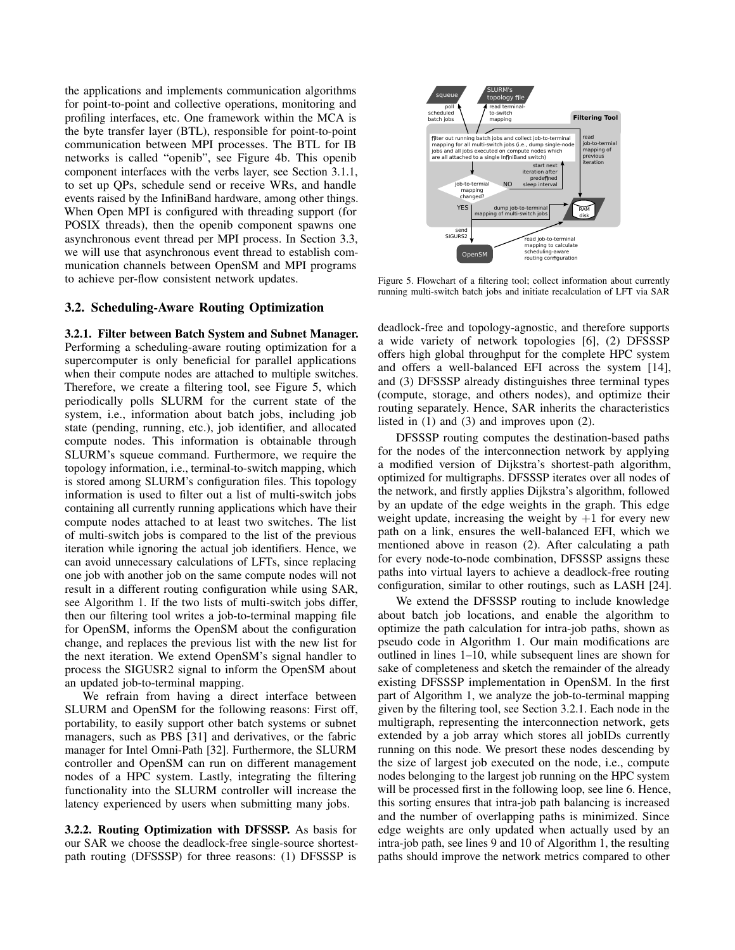the applications and implements communication algorithms for point-to-point and collective operations, monitoring and profiling interfaces, etc. One framework within the MCA is the byte transfer layer (BTL), responsible for point-to-point communication between MPI processes. The BTL for IB networks is called "openib", see Figure 4b. This openib component interfaces with the verbs layer, see Section 3.1.1, to set up QPs, schedule send or receive WRs, and handle events raised by the InfiniBand hardware, among other things. When Open MPI is configured with threading support (for POSIX threads), then the openib component spawns one asynchronous event thread per MPI process. In Section 3.3, we will use that asynchronous event thread to establish communication channels between OpenSM and MPI programs to achieve per-flow consistent network updates.

## 3.2. Scheduling-Aware Routing Optimization

3.2.1. Filter between Batch System and Subnet Manager. Performing a scheduling-aware routing optimization for a supercomputer is only beneficial for parallel applications when their compute nodes are attached to multiple switches. Therefore, we create a filtering tool, see Figure 5, which periodically polls SLURM for the current state of the system, i.e., information about batch jobs, including job state (pending, running, etc.), job identifier, and allocated compute nodes. This information is obtainable through SLURM's squeue command. Furthermore, we require the topology information, i.e., terminal-to-switch mapping, which is stored among SLURM's configuration files. This topology information is used to filter out a list of multi-switch jobs containing all currently running applications which have their compute nodes attached to at least two switches. The list of multi-switch jobs is compared to the list of the previous iteration while ignoring the actual job identifiers. Hence, we can avoid unnecessary calculations of LFTs, since replacing one job with another job on the same compute nodes will not result in a different routing configuration while using SAR, see Algorithm 1. If the two lists of multi-switch jobs differ, then our filtering tool writes a job-to-terminal mapping file for OpenSM, informs the OpenSM about the configuration change, and replaces the previous list with the new list for the next iteration. We extend OpenSM's signal handler to process the SIGUSR2 signal to inform the OpenSM about an updated job-to-terminal mapping.

We refrain from having a direct interface between SLURM and OpenSM for the following reasons: First off, portability, to easily support other batch systems or subnet managers, such as PBS [31] and derivatives, or the fabric manager for Intel Omni-Path [32]. Furthermore, the SLURM controller and OpenSM can run on different management nodes of a HPC system. Lastly, integrating the filtering functionality into the SLURM controller will increase the latency experienced by users when submitting many jobs.

3.2.2. Routing Optimization with DFSSSP. As basis for our SAR we choose the deadlock-free single-source shortestpath routing (DFSSSP) for three reasons: (1) DFSSSP is



Figure 5. Flowchart of a filtering tool; collect information about currently running multi-switch batch jobs and initiate recalculation of LFT via SAR

deadlock-free and topology-agnostic, and therefore supports a wide variety of network topologies [6], (2) DFSSSP offers high global throughput for the complete HPC system and offers a well-balanced EFI across the system [14], and (3) DFSSSP already distinguishes three terminal types (compute, storage, and others nodes), and optimize their routing separately. Hence, SAR inherits the characteristics listed in (1) and (3) and improves upon (2).

DFSSSP routing computes the destination-based paths for the nodes of the interconnection network by applying a modified version of Dijkstra's shortest-path algorithm, optimized for multigraphs. DFSSSP iterates over all nodes of the network, and firstly applies Dijkstra's algorithm, followed by an update of the edge weights in the graph. This edge weight update, increasing the weight by  $+1$  for every new path on a link, ensures the well-balanced EFI, which we mentioned above in reason (2). After calculating a path for every node-to-node combination, DFSSSP assigns these paths into virtual layers to achieve a deadlock-free routing configuration, similar to other routings, such as LASH [24].

We extend the DFSSSP routing to include knowledge about batch job locations, and enable the algorithm to optimize the path calculation for intra-job paths, shown as pseudo code in Algorithm 1. Our main modifications are outlined in lines 1–10, while subsequent lines are shown for sake of completeness and sketch the remainder of the already existing DFSSSP implementation in OpenSM. In the first part of Algorithm 1, we analyze the job-to-terminal mapping given by the filtering tool, see Section 3.2.1. Each node in the multigraph, representing the interconnection network, gets extended by a job array which stores all jobIDs currently running on this node. We presort these nodes descending by the size of largest job executed on the node, i.e., compute nodes belonging to the largest job running on the HPC system will be processed first in the following loop, see line 6. Hence, this sorting ensures that intra-job path balancing is increased and the number of overlapping paths is minimized. Since edge weights are only updated when actually used by an intra-job path, see lines 9 and 10 of Algorithm 1, the resulting paths should improve the network metrics compared to other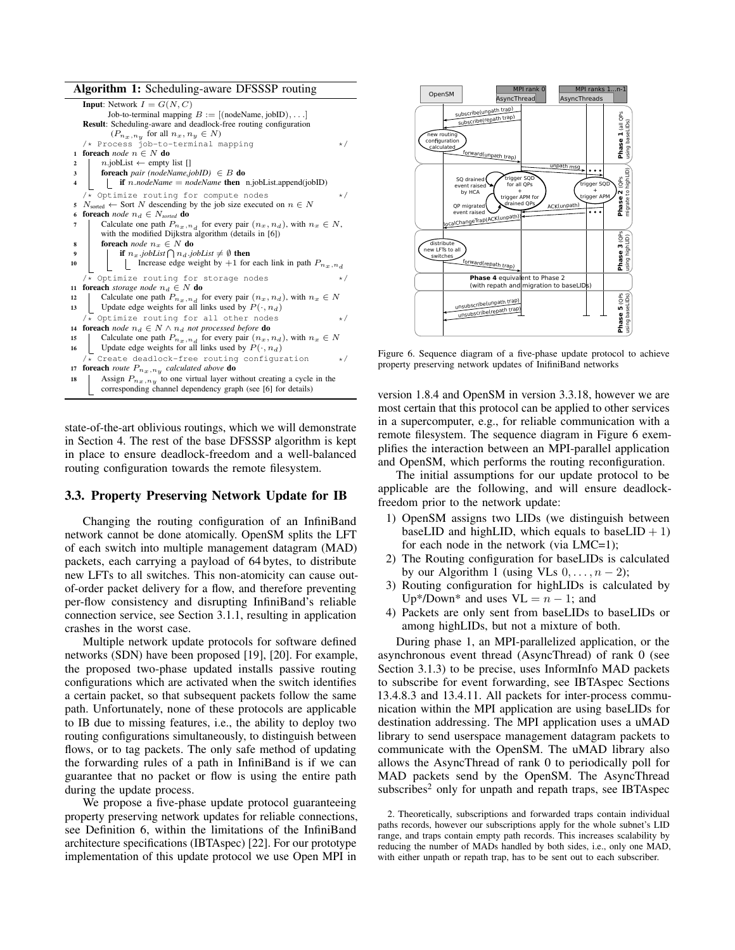Algorithm 1: Scheduling-aware DFSSSP routing

|    | <b>Input:</b> Network $I = G(N, C)$                                                    |  |  |  |  |  |  |  |  |  |
|----|----------------------------------------------------------------------------------------|--|--|--|--|--|--|--|--|--|
|    | Job-to-terminal mapping $B := [(\text{nodeName}, \text{jobID}), \dots]$                |  |  |  |  |  |  |  |  |  |
|    | <b>Result:</b> Scheduling-aware and deadlock-free routing configuration                |  |  |  |  |  |  |  |  |  |
|    | $(P_{n_x,n_y}$ for all $n_x,n_y \in N$                                                 |  |  |  |  |  |  |  |  |  |
|    | /* Process job-to-terminal mapping<br>$\star/$                                         |  |  |  |  |  |  |  |  |  |
| 1  | <b>foreach</b> node $n \in N$ <b>do</b>                                                |  |  |  |  |  |  |  |  |  |
| 2  | $n$ .jobList $\leftarrow$ empty list $\lceil$                                          |  |  |  |  |  |  |  |  |  |
| 3  | <b>foreach</b> pair (nodeName,jobID) $\in$ B <b>do</b>                                 |  |  |  |  |  |  |  |  |  |
| 4  | if $n.nodeName = nodeName$ then $n.jobList.append(jobID)$                              |  |  |  |  |  |  |  |  |  |
|    | /* Optimize routing for compute nodes<br>$\star/$                                      |  |  |  |  |  |  |  |  |  |
| 5  | $N_{\text{sorted}} \leftarrow$ Sort N descending by the job size executed on $n \in N$ |  |  |  |  |  |  |  |  |  |
| 6  | <b>foreach</b> node $n_d \in N_{sorted}$ <b>do</b>                                     |  |  |  |  |  |  |  |  |  |
| 7  | Calculate one path $P_{n_x,n_d}$ for every pair $(n_x,n_d)$ , with $n_x \in N$ ,       |  |  |  |  |  |  |  |  |  |
|    | with the modified Dijkstra algorithm (details in [6])                                  |  |  |  |  |  |  |  |  |  |
| 8  | foreach <i>node</i> $n_x \in N$ do                                                     |  |  |  |  |  |  |  |  |  |
| 9  | <b>if</b> $n_x$ <i>jobList</i> $\bigcap n_d$ <i>jobList</i> $\neq \emptyset$ then      |  |  |  |  |  |  |  |  |  |
| 10 | Increase edge weight by $+1$ for each link in path $P_{n_x,n_d}$                       |  |  |  |  |  |  |  |  |  |
|    | /* Optimize routing for storage nodes<br>$\star/$                                      |  |  |  |  |  |  |  |  |  |
|    | 11 <b>foreach</b> storage node $n_d \in N$ <b>do</b>                                   |  |  |  |  |  |  |  |  |  |
| 12 | Calculate one path $P_{n_x,n_d}$ for every pair $(n_x,n_d)$ , with $n_x \in N$         |  |  |  |  |  |  |  |  |  |
| 13 | Update edge weights for all links used by $P(\cdot, n_d)$                              |  |  |  |  |  |  |  |  |  |
|    | /* Optimize routing for all other nodes<br>$\star/$                                    |  |  |  |  |  |  |  |  |  |
|    | 14 <b>foreach</b> node $n_d \in N \wedge n_d$ not processed before <b>do</b>           |  |  |  |  |  |  |  |  |  |
| 15 | Calculate one path $P_{n_x,n_d}$ for every pair $(n_x,n_d)$ , with $n_x \in N$         |  |  |  |  |  |  |  |  |  |
| 16 | Update edge weights for all links used by $P(\cdot, n_d)$                              |  |  |  |  |  |  |  |  |  |
|    | /* Create deadlock-free routing configuration<br>$\star$ /                             |  |  |  |  |  |  |  |  |  |
|    | 17 <b>foreach</b> route $P_{n_x,n_y}$ calculated above <b>do</b>                       |  |  |  |  |  |  |  |  |  |
| 18 | Assign $P_{n_x,n_y}$ to one virtual layer without creating a cycle in the              |  |  |  |  |  |  |  |  |  |
|    | corresponding channel dependency graph (see [6] for details)                           |  |  |  |  |  |  |  |  |  |
|    |                                                                                        |  |  |  |  |  |  |  |  |  |

state-of-the-art oblivious routings, which we will demonstrate in Section 4. The rest of the base DFSSSP algorithm is kept in place to ensure deadlock-freedom and a well-balanced routing configuration towards the remote filesystem.

### 3.3. Property Preserving Network Update for IB

Changing the routing configuration of an InfiniBand network cannot be done atomically. OpenSM splits the LFT of each switch into multiple management datagram (MAD) packets, each carrying a payload of 64 bytes, to distribute new LFTs to all switches. This non-atomicity can cause outof-order packet delivery for a flow, and therefore preventing per-flow consistency and disrupting InfiniBand's reliable connection service, see Section 3.1.1, resulting in application crashes in the worst case.

Multiple network update protocols for software defined networks (SDN) have been proposed [19], [20]. For example, the proposed two-phase updated installs passive routing configurations which are activated when the switch identifies a certain packet, so that subsequent packets follow the same path. Unfortunately, none of these protocols are applicable to IB due to missing features, i.e., the ability to deploy two routing configurations simultaneously, to distinguish between flows, or to tag packets. The only safe method of updating the forwarding rules of a path in InfiniBand is if we can guarantee that no packet or flow is using the entire path during the update process.

We propose a five-phase update protocol guaranteeing property preserving network updates for reliable connections, see Definition 6, within the limitations of the InfiniBand architecture specifications (IBTAspec) [22]. For our prototype implementation of this update protocol we use Open MPI in



Figure 6. Sequence diagram of a five-phase update protocol to achieve property preserving network updates of InifiniBand networks

version 1.8.4 and OpenSM in version 3.3.18, however we are most certain that this protocol can be applied to other services in a supercomputer, e.g., for reliable communication with a remote filesystem. The sequence diagram in Figure 6 exemplifies the interaction between an MPI-parallel application and OpenSM, which performs the routing reconfiguration.

The initial assumptions for our update protocol to be applicable are the following, and will ensure deadlockfreedom prior to the network update:

- 1) OpenSM assigns two LIDs (we distinguish between baseLID and highLID, which equals to baseLID  $+ 1$ ) for each node in the network (via LMC=1);
- 2) The Routing configuration for baseLIDs is calculated by our Algorithm 1 (using VLs  $0, \ldots, n-2$ );
- 3) Routing configuration for highLIDs is calculated by Up\*/Down\* and uses  $VL = n - 1$ ; and
- 4) Packets are only sent from baseLIDs to baseLIDs or among highLIDs, but not a mixture of both.

During phase 1, an MPI-parallelized application, or the asynchronous event thread (AsyncThread) of rank 0 (see Section 3.1.3) to be precise, uses InformInfo MAD packets to subscribe for event forwarding, see IBTAspec Sections 13.4.8.3 and 13.4.11. All packets for inter-process communication within the MPI application are using baseLIDs for destination addressing. The MPI application uses a uMAD library to send userspace management datagram packets to communicate with the OpenSM. The uMAD library also allows the AsyncThread of rank 0 to periodically poll for MAD packets send by the OpenSM. The AsyncThread subscribes<sup>2</sup> only for unpath and repath traps, see IBTAspec

<sup>2.</sup> Theoretically, subscriptions and forwarded traps contain individual paths records, however our subscriptions apply for the whole subnet's LID range, and traps contain empty path records. This increases scalability by reducing the number of MADs handled by both sides, i.e., only one MAD, with either unpath or repath trap, has to be sent out to each subscriber.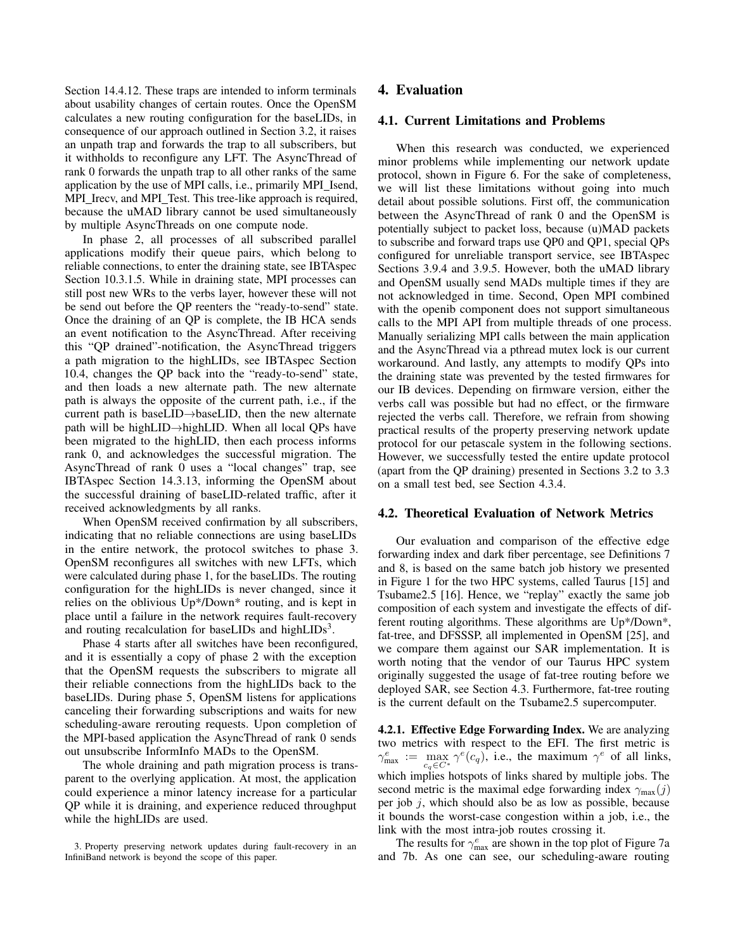Section 14.4.12. These traps are intended to inform terminals about usability changes of certain routes. Once the OpenSM calculates a new routing configuration for the baseLIDs, in consequence of our approach outlined in Section 3.2, it raises an unpath trap and forwards the trap to all subscribers, but it withholds to reconfigure any LFT. The AsyncThread of rank 0 forwards the unpath trap to all other ranks of the same application by the use of MPI calls, i.e., primarily MPI\_Isend, MPI\_Irecv, and MPI\_Test. This tree-like approach is required, because the uMAD library cannot be used simultaneously by multiple AsyncThreads on one compute node.

In phase 2, all processes of all subscribed parallel applications modify their queue pairs, which belong to reliable connections, to enter the draining state, see IBTAspec Section 10.3.1.5. While in draining state, MPI processes can still post new WRs to the verbs layer, however these will not be send out before the QP reenters the "ready-to-send" state. Once the draining of an QP is complete, the IB HCA sends an event notification to the AsyncThread. After receiving this "QP drained"-notification, the AsyncThread triggers a path migration to the highLIDs, see IBTAspec Section 10.4, changes the QP back into the "ready-to-send" state, and then loads a new alternate path. The new alternate path is always the opposite of the current path, i.e., if the current path is baseLID→baseLID, then the new alternate path will be highLID→highLID. When all local QPs have been migrated to the highLID, then each process informs rank 0, and acknowledges the successful migration. The AsyncThread of rank 0 uses a "local changes" trap, see IBTAspec Section 14.3.13, informing the OpenSM about the successful draining of baseLID-related traffic, after it received acknowledgments by all ranks.

When OpenSM received confirmation by all subscribers, indicating that no reliable connections are using baseLIDs in the entire network, the protocol switches to phase 3. OpenSM reconfigures all switches with new LFTs, which were calculated during phase 1, for the baseLIDs. The routing configuration for the highLIDs is never changed, since it relies on the oblivious Up\*/Down\* routing, and is kept in place until a failure in the network requires fault-recovery and routing recalculation for baseLIDs and highLIDs<sup>3</sup>.

Phase 4 starts after all switches have been reconfigured, and it is essentially a copy of phase 2 with the exception that the OpenSM requests the subscribers to migrate all their reliable connections from the highLIDs back to the baseLIDs. During phase 5, OpenSM listens for applications canceling their forwarding subscriptions and waits for new scheduling-aware rerouting requests. Upon completion of the MPI-based application the AsyncThread of rank 0 sends out unsubscribe InformInfo MADs to the OpenSM.

The whole draining and path migration process is transparent to the overlying application. At most, the application could experience a minor latency increase for a particular QP while it is draining, and experience reduced throughput while the highLIDs are used.

# 4. Evaluation

### 4.1. Current Limitations and Problems

When this research was conducted, we experienced minor problems while implementing our network update protocol, shown in Figure 6. For the sake of completeness, we will list these limitations without going into much detail about possible solutions. First off, the communication between the AsyncThread of rank 0 and the OpenSM is potentially subject to packet loss, because (u)MAD packets to subscribe and forward traps use QP0 and QP1, special QPs configured for unreliable transport service, see IBTAspec Sections 3.9.4 and 3.9.5. However, both the uMAD library and OpenSM usually send MADs multiple times if they are not acknowledged in time. Second, Open MPI combined with the openib component does not support simultaneous calls to the MPI API from multiple threads of one process. Manually serializing MPI calls between the main application and the AsyncThread via a pthread mutex lock is our current workaround. And lastly, any attempts to modify QPs into the draining state was prevented by the tested firmwares for our IB devices. Depending on firmware version, either the verbs call was possible but had no effect, or the firmware rejected the verbs call. Therefore, we refrain from showing practical results of the property preserving network update protocol for our petascale system in the following sections. However, we successfully tested the entire update protocol (apart from the QP draining) presented in Sections 3.2 to 3.3 on a small test bed, see Section 4.3.4.

### 4.2. Theoretical Evaluation of Network Metrics

Our evaluation and comparison of the effective edge forwarding index and dark fiber percentage, see Definitions 7 and 8, is based on the same batch job history we presented in Figure 1 for the two HPC systems, called Taurus [15] and Tsubame2.5 [16]. Hence, we "replay" exactly the same job composition of each system and investigate the effects of different routing algorithms. These algorithms are Up\*/Down\*, fat-tree, and DFSSSP, all implemented in OpenSM [25], and we compare them against our SAR implementation. It is worth noting that the vendor of our Taurus HPC system originally suggested the usage of fat-tree routing before we deployed SAR, see Section 4.3. Furthermore, fat-tree routing is the current default on the Tsubame2.5 supercomputer.

4.2.1. Effective Edge Forwarding Index. We are analyzing two metrics with respect to the EFI. The first metric is  $\gamma_{\text{max}}^e := \max_{c_q \in C^*} \gamma^e(c_q)$ , i.e., the maximum  $\gamma^e$  of all links, which implies hotspots of links shared by multiple jobs. The second metric is the maximal edge forwarding index  $\gamma_{\text{max}}(j)$ per job  $j$ , which should also be as low as possible, because it bounds the worst-case congestion within a job, i.e., the link with the most intra-job routes crossing it.

The results for  $\gamma_{\text{max}}^e$  are shown in the top plot of Figure 7a and 7b. As one can see, our scheduling-aware routing

<sup>3.</sup> Property preserving network updates during fault-recovery in an InfiniBand network is beyond the scope of this paper.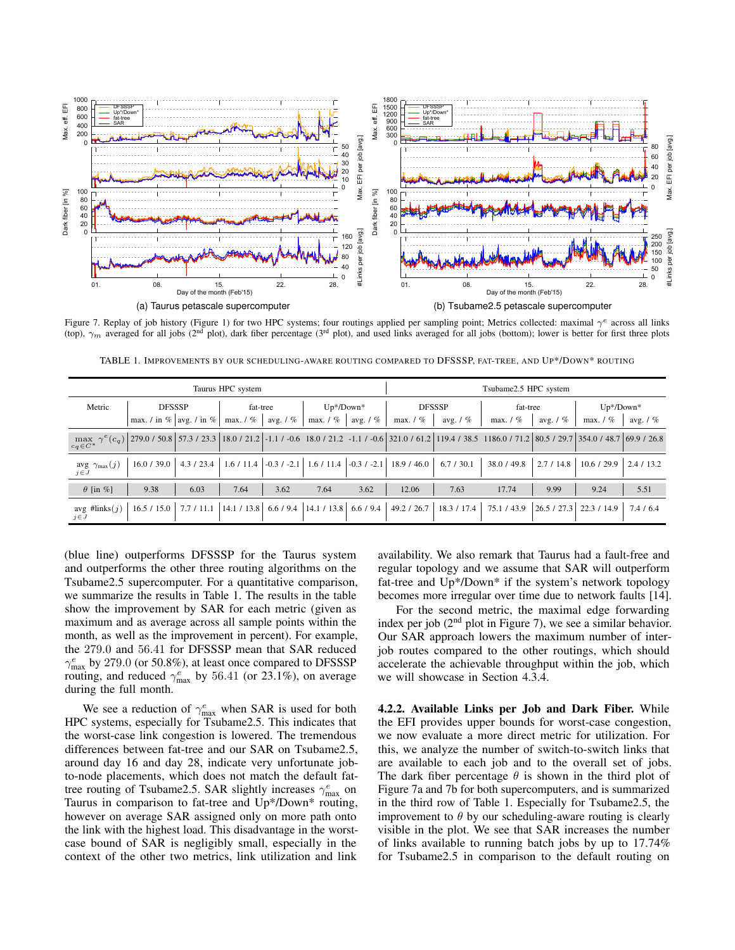

Figure 7. Replay of job history (Figure 1) for two HPC systems; four routings applied per sampling point; Metrics collected: maximal  $\gamma^e$  across all links (top),  $\gamma_m$  averaged for all jobs (2<sup>nd</sup> plot), dark fiber percentage (3<sup>rd</sup> plot), and used links averaged for all jobs (bottom); lower is better for first three plots

| Taurus HPC system                         |                           |            |             |            |                         |            |                                                                                                       | Tsubame2.5 HPC system |                                                            |             |                 |            |  |
|-------------------------------------------|---------------------------|------------|-------------|------------|-------------------------|------------|-------------------------------------------------------------------------------------------------------|-----------------------|------------------------------------------------------------|-------------|-----------------|------------|--|
| Metric                                    | <b>DFSSSP</b>             |            | fat-tree    |            | $Up^* / Down^*$         |            | <b>DFSSSP</b>                                                                                         |                       | fat-tree                                                   |             | $Up^* / Down^*$ |            |  |
|                                           | max. / in %   avg. / in % |            | max. $/$ %  | avg. $/$ % | max. $/$ %              | avg. $/$ % | max. $/$ %                                                                                            | avg. $/$ %            | max. $/$ %                                                 | avg. $/$ %  | max. $/$ %      | avg. $/$ % |  |
| $\max_{c_q \in C^*} \gamma^e(c_q)$        | 279.0 / 50.8              |            |             |            |                         |            | $57.3 / 23.3   18.0 / 21.2   -1.1 / -0.6   18.0 / 21.2   -1.1 / -0.6   321.0 / 61.2   119.4 / 38.5  $ |                       | $1186.0 / 71.2   80.5 / 29.7   354.0 / 48.7   69.9 / 26.8$ |             |                 |            |  |
| avg $\gamma_{\text{max}}(j)$<br>$j \in J$ | 16.0 / 39.0               | 4.3 / 23.4 |             |            |                         |            | $1.6 / 11.4$ $-0.3 / -2.1$ $1.6 / 11.4$ $-0.3 / -2.1$ 18.9 / 46.0                                     | 6.7 / 30.1            | 38.0 / 49.8                                                | 2.7/14.8    | 10.6 / 29.9     | 2.4/13.2   |  |
| $\theta$ [in %]                           | 9.38                      | 6.03       | 7.64        | 3.62       | 7.64                    | 3.62       | 12.06                                                                                                 | 7.63                  | 17.74                                                      | 9.99        | 9.24            | 5.51       |  |
| avg #links $(j)$<br>$j \in J$             | 16.5 / 15.0               | 7.7 / 11.1 | 14.1 / 13.8 | 6.6/9.4    | $14.1 / 13.8$ 6.6 / 9.4 |            | 49.2 / 26.7                                                                                           | 18.3 / 17.4           | 75.1 / 43.9                                                | 26.5 / 27.3 | 22.3 / 14.9     | 7.4 / 6.4  |  |

TABLE 1. IMPROVEMENTS BY OUR SCHEDULING-AWARE ROUTING COMPARED TO DFSSSP, FAT-TREE, AND UP\*/DOWN\* ROUTING

(blue line) outperforms DFSSSP for the Taurus system and outperforms the other three routing algorithms on the Tsubame2.5 supercomputer. For a quantitative comparison, we summarize the results in Table 1. The results in the table show the improvement by SAR for each metric (given as maximum and as average across all sample points within the month, as well as the improvement in percent). For example, the 279.0 and 56.41 for DFSSSP mean that SAR reduced  $\gamma_{\text{max}}^e$  by 279.0 (or 50.8%), at least once compared to DFSSSP routing, and reduced  $\gamma_{\text{max}}^e$  by 56.41 (or 23.1%), on average during the full month.

We see a reduction of  $\gamma_{\text{max}}^e$  when SAR is used for both HPC systems, especially for Tsubame2.5. This indicates that the worst-case link congestion is lowered. The tremendous differences between fat-tree and our SAR on Tsubame2.5, around day 16 and day 28, indicate very unfortunate jobto-node placements, which does not match the default fattree routing of Tsubame2.5. SAR slightly increases  $\gamma_{\text{max}}^e$  on Taurus in comparison to fat-tree and Up\*/Down\* routing, however on average SAR assigned only on more path onto the link with the highest load. This disadvantage in the worstcase bound of SAR is negligibly small, especially in the context of the other two metrics, link utilization and link

availability. We also remark that Taurus had a fault-free and regular topology and we assume that SAR will outperform fat-tree and Up\*/Down\* if the system's network topology becomes more irregular over time due to network faults [14].

For the second metric, the maximal edge forwarding index per job  $(2<sup>nd</sup>$  plot in Figure 7), we see a similar behavior. Our SAR approach lowers the maximum number of interjob routes compared to the other routings, which should accelerate the achievable throughput within the job, which we will showcase in Section 4.3.4.

4.2.2. Available Links per Job and Dark Fiber. While the EFI provides upper bounds for worst-case congestion, we now evaluate a more direct metric for utilization. For this, we analyze the number of switch-to-switch links that are available to each job and to the overall set of jobs. The dark fiber percentage  $\theta$  is shown in the third plot of Figure 7a and 7b for both supercomputers, and is summarized in the third row of Table 1. Especially for Tsubame2.5, the improvement to  $\theta$  by our scheduling-aware routing is clearly visible in the plot. We see that SAR increases the number of links available to running batch jobs by up to 17.74% for Tsubame2.5 in comparison to the default routing on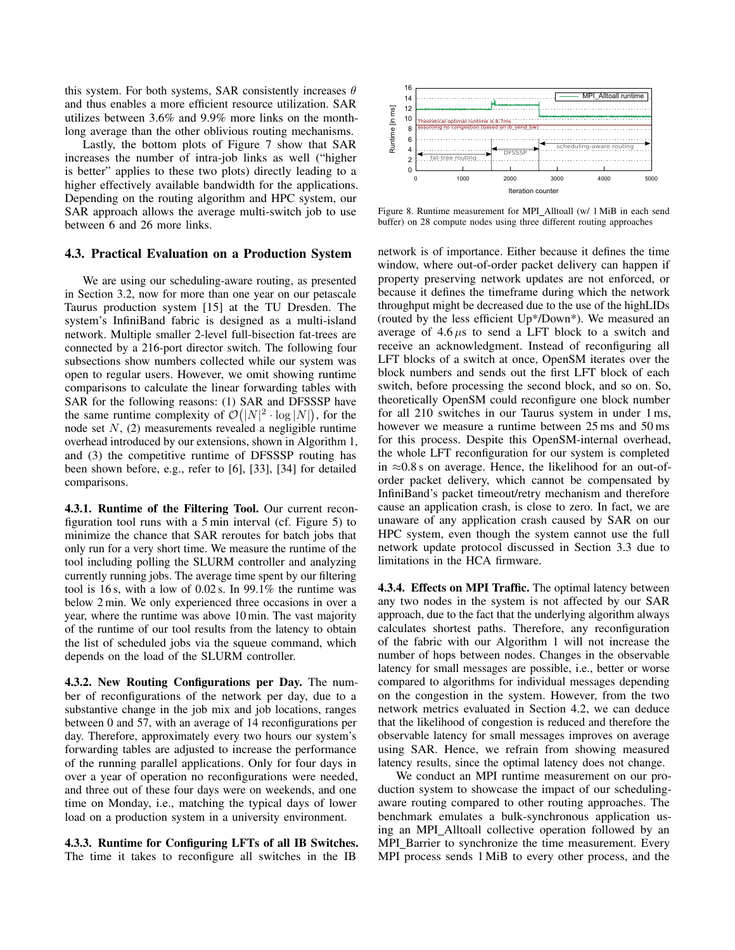this system. For both systems, SAR consistently increases  $\theta$ and thus enables a more efficient resource utilization. SAR utilizes between 3.6% and 9.9% more links on the monthlong average than the other oblivious routing mechanisms.

Lastly, the bottom plots of Figure 7 show that SAR increases the number of intra-job links as well ("higher is better" applies to these two plots) directly leading to a higher effectively available bandwidth for the applications. Depending on the routing algorithm and HPC system, our SAR approach allows the average multi-switch job to use between 6 and 26 more links.

### 4.3. Practical Evaluation on a Production System

We are using our scheduling-aware routing, as presented in Section 3.2, now for more than one year on our petascale Taurus production system [15] at the TU Dresden. The system's InfiniBand fabric is designed as a multi-island network. Multiple smaller 2-level full-bisection fat-trees are connected by a 216-port director switch. The following four subsections show numbers collected while our system was open to regular users. However, we omit showing runtime comparisons to calculate the linear forwarding tables with SAR for the following reasons: (1) SAR and DFSSSP have the same runtime complexity of  $\mathcal{O}(|N|^2 \cdot \log |N|)$ , for the node set  $N$ , (2) measurements revealed a negligible runtime overhead introduced by our extensions, shown in Algorithm 1, and (3) the competitive runtime of DFSSSP routing has been shown before, e.g., refer to [6], [33], [34] for detailed comparisons.

4.3.1. Runtime of the Filtering Tool. Our current reconfiguration tool runs with a 5 min interval (cf. Figure 5) to minimize the chance that SAR reroutes for batch jobs that only run for a very short time. We measure the runtime of the tool including polling the SLURM controller and analyzing currently running jobs. The average time spent by our filtering tool is 16 s, with a low of 0.02 s. In 99.1% the runtime was below 2 min. We only experienced three occasions in over a year, where the runtime was above 10 min. The vast majority of the runtime of our tool results from the latency to obtain the list of scheduled jobs via the squeue command, which depends on the load of the SLURM controller.

4.3.2. New Routing Configurations per Day. The number of reconfigurations of the network per day, due to a substantive change in the job mix and job locations, ranges between 0 and 57, with an average of 14 reconfigurations per day. Therefore, approximately every two hours our system's forwarding tables are adjusted to increase the performance of the running parallel applications. Only for four days in over a year of operation no reconfigurations were needed, and three out of these four days were on weekends, and one time on Monday, i.e., matching the typical days of lower load on a production system in a university environment.

4.3.3. Runtime for Configuring LFTs of all IB Switches. The time it takes to reconfigure all switches in the IB



Figure 8. Runtime measurement for MPI\_Alltoall (w/ 1 MiB in each send buffer) on 28 compute nodes using three different routing approaches

network is of importance. Either because it defines the time window, where out-of-order packet delivery can happen if property preserving network updates are not enforced, or because it defines the timeframe during which the network throughput might be decreased due to the use of the highLIDs (routed by the less efficient Up\*/Down\*). We measured an average of  $4.6 \mu s$  to send a LFT block to a switch and receive an acknowledgment. Instead of reconfiguring all LFT blocks of a switch at once, OpenSM iterates over the block numbers and sends out the first LFT block of each switch, before processing the second block, and so on. So, theoretically OpenSM could reconfigure one block number for all 210 switches in our Taurus system in under 1 ms, however we measure a runtime between 25 ms and 50 ms for this process. Despite this OpenSM-internal overhead, the whole LFT reconfiguration for our system is completed in ≈0.8 s on average. Hence, the likelihood for an out-oforder packet delivery, which cannot be compensated by InfiniBand's packet timeout/retry mechanism and therefore cause an application crash, is close to zero. In fact, we are unaware of any application crash caused by SAR on our HPC system, even though the system cannot use the full network update protocol discussed in Section 3.3 due to limitations in the HCA firmware.

4.3.4. Effects on MPI Traffic. The optimal latency between any two nodes in the system is not affected by our SAR approach, due to the fact that the underlying algorithm always calculates shortest paths. Therefore, any reconfiguration of the fabric with our Algorithm 1 will not increase the number of hops between nodes. Changes in the observable latency for small messages are possible, i.e., better or worse compared to algorithms for individual messages depending on the congestion in the system. However, from the two network metrics evaluated in Section 4.2, we can deduce that the likelihood of congestion is reduced and therefore the observable latency for small messages improves on average using SAR. Hence, we refrain from showing measured latency results, since the optimal latency does not change.

We conduct an MPI runtime measurement on our production system to showcase the impact of our schedulingaware routing compared to other routing approaches. The benchmark emulates a bulk-synchronous application using an MPI Alltoall collective operation followed by an MPI\_Barrier to synchronize the time measurement. Every MPI process sends 1 MiB to every other process, and the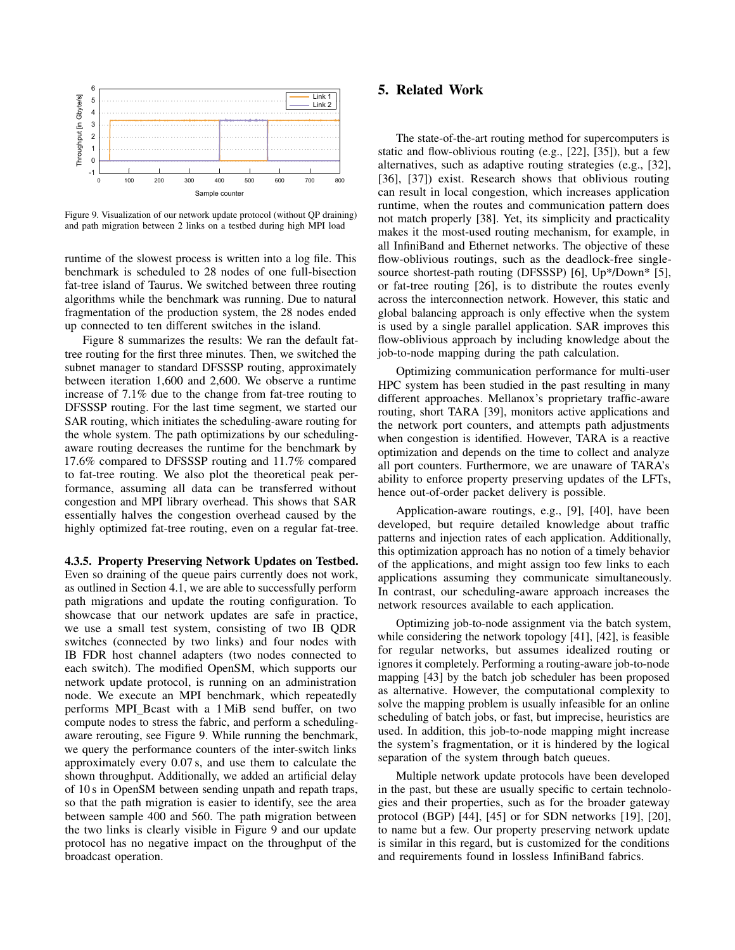

Figure 9. Visualization of our network update protocol (without QP draining) and path migration between 2 links on a testbed during high MPI load

runtime of the slowest process is written into a log file. This benchmark is scheduled to 28 nodes of one full-bisection fat-tree island of Taurus. We switched between three routing algorithms while the benchmark was running. Due to natural fragmentation of the production system, the 28 nodes ended up connected to ten different switches in the island.

Figure 8 summarizes the results: We ran the default fattree routing for the first three minutes. Then, we switched the subnet manager to standard DFSSSP routing, approximately between iteration 1,600 and 2,600. We observe a runtime increase of 7.1% due to the change from fat-tree routing to DFSSSP routing. For the last time segment, we started our SAR routing, which initiates the scheduling-aware routing for the whole system. The path optimizations by our schedulingaware routing decreases the runtime for the benchmark by 17.6% compared to DFSSSP routing and 11.7% compared to fat-tree routing. We also plot the theoretical peak performance, assuming all data can be transferred without congestion and MPI library overhead. This shows that SAR essentially halves the congestion overhead caused by the highly optimized fat-tree routing, even on a regular fat-tree.

4.3.5. Property Preserving Network Updates on Testbed. Even so draining of the queue pairs currently does not work, as outlined in Section 4.1, we are able to successfully perform path migrations and update the routing configuration. To showcase that our network updates are safe in practice, we use a small test system, consisting of two IB QDR switches (connected by two links) and four nodes with IB FDR host channel adapters (two nodes connected to each switch). The modified OpenSM, which supports our network update protocol, is running on an administration node. We execute an MPI benchmark, which repeatedly performs MPI Bcast with a 1 MiB send buffer, on two compute nodes to stress the fabric, and perform a schedulingaware rerouting, see Figure 9. While running the benchmark, we query the performance counters of the inter-switch links approximately every 0.07 s, and use them to calculate the shown throughput. Additionally, we added an artificial delay of 10 s in OpenSM between sending unpath and repath traps, so that the path migration is easier to identify, see the area between sample 400 and 560. The path migration between the two links is clearly visible in Figure 9 and our update protocol has no negative impact on the throughput of the broadcast operation.

# 5. Related Work

The state-of-the-art routing method for supercomputers is static and flow-oblivious routing (e.g., [22], [35]), but a few alternatives, such as adaptive routing strategies (e.g., [32], [36], [37]) exist. Research shows that oblivious routing can result in local congestion, which increases application runtime, when the routes and communication pattern does not match properly [38]. Yet, its simplicity and practicality makes it the most-used routing mechanism, for example, in all InfiniBand and Ethernet networks. The objective of these flow-oblivious routings, such as the deadlock-free singlesource shortest-path routing (DFSSSP) [6], Up\*/Down\* [5], or fat-tree routing [26], is to distribute the routes evenly across the interconnection network. However, this static and global balancing approach is only effective when the system is used by a single parallel application. SAR improves this flow-oblivious approach by including knowledge about the job-to-node mapping during the path calculation.

Optimizing communication performance for multi-user HPC system has been studied in the past resulting in many different approaches. Mellanox's proprietary traffic-aware routing, short TARA [39], monitors active applications and the network port counters, and attempts path adjustments when congestion is identified. However, TARA is a reactive optimization and depends on the time to collect and analyze all port counters. Furthermore, we are unaware of TARA's ability to enforce property preserving updates of the LFTs, hence out-of-order packet delivery is possible.

Application-aware routings, e.g., [9], [40], have been developed, but require detailed knowledge about traffic patterns and injection rates of each application. Additionally, this optimization approach has no notion of a timely behavior of the applications, and might assign too few links to each applications assuming they communicate simultaneously. In contrast, our scheduling-aware approach increases the network resources available to each application.

Optimizing job-to-node assignment via the batch system, while considering the network topology [41], [42], is feasible for regular networks, but assumes idealized routing or ignores it completely. Performing a routing-aware job-to-node mapping [43] by the batch job scheduler has been proposed as alternative. However, the computational complexity to solve the mapping problem is usually infeasible for an online scheduling of batch jobs, or fast, but imprecise, heuristics are used. In addition, this job-to-node mapping might increase the system's fragmentation, or it is hindered by the logical separation of the system through batch queues.

Multiple network update protocols have been developed in the past, but these are usually specific to certain technologies and their properties, such as for the broader gateway protocol (BGP) [44], [45] or for SDN networks [19], [20], to name but a few. Our property preserving network update is similar in this regard, but is customized for the conditions and requirements found in lossless InfiniBand fabrics.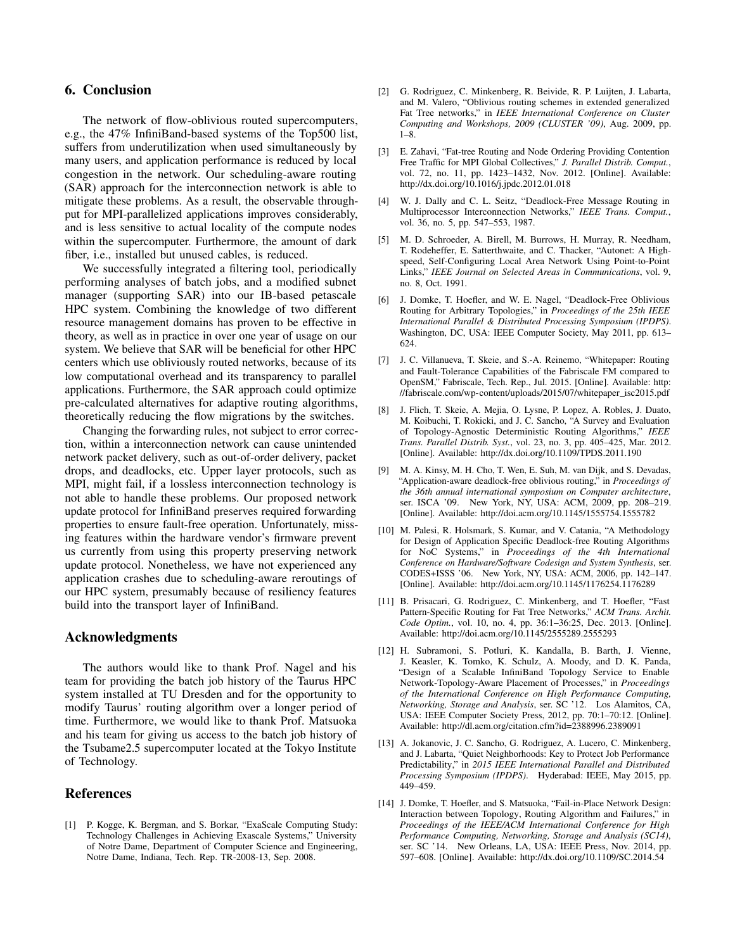# 6. Conclusion

The network of flow-oblivious routed supercomputers, e.g., the 47% InfiniBand-based systems of the Top500 list, suffers from underutilization when used simultaneously by many users, and application performance is reduced by local congestion in the network. Our scheduling-aware routing (SAR) approach for the interconnection network is able to mitigate these problems. As a result, the observable throughput for MPI-parallelized applications improves considerably, and is less sensitive to actual locality of the compute nodes within the supercomputer. Furthermore, the amount of dark fiber, i.e., installed but unused cables, is reduced.

We successfully integrated a filtering tool, periodically performing analyses of batch jobs, and a modified subnet manager (supporting SAR) into our IB-based petascale HPC system. Combining the knowledge of two different resource management domains has proven to be effective in theory, as well as in practice in over one year of usage on our system. We believe that SAR will be beneficial for other HPC centers which use obliviously routed networks, because of its low computational overhead and its transparency to parallel applications. Furthermore, the SAR approach could optimize pre-calculated alternatives for adaptive routing algorithms, theoretically reducing the flow migrations by the switches.

Changing the forwarding rules, not subject to error correction, within a interconnection network can cause unintended network packet delivery, such as out-of-order delivery, packet drops, and deadlocks, etc. Upper layer protocols, such as MPI, might fail, if a lossless interconnection technology is not able to handle these problems. Our proposed network update protocol for InfiniBand preserves required forwarding properties to ensure fault-free operation. Unfortunately, missing features within the hardware vendor's firmware prevent us currently from using this property preserving network update protocol. Nonetheless, we have not experienced any application crashes due to scheduling-aware reroutings of our HPC system, presumably because of resiliency features build into the transport layer of InfiniBand.

# Acknowledgments

The authors would like to thank Prof. Nagel and his team for providing the batch job history of the Taurus HPC system installed at TU Dresden and for the opportunity to modify Taurus' routing algorithm over a longer period of time. Furthermore, we would like to thank Prof. Matsuoka and his team for giving us access to the batch job history of the Tsubame2.5 supercomputer located at the Tokyo Institute of Technology.

## References

[1] P. Kogge, K. Bergman, and S. Borkar, "ExaScale Computing Study: Technology Challenges in Achieving Exascale Systems," University of Notre Dame, Department of Computer Science and Engineering, Notre Dame, Indiana, Tech. Rep. TR-2008-13, Sep. 2008.

- [2] G. Rodriguez, C. Minkenberg, R. Beivide, R. P. Luijten, J. Labarta, and M. Valero, "Oblivious routing schemes in extended generalized Fat Tree networks," in *IEEE International Conference on Cluster Computing and Workshops, 2009 (CLUSTER '09)*, Aug. 2009, pp. 1–8.
- [3] E. Zahavi, "Fat-tree Routing and Node Ordering Providing Contention Free Traffic for MPI Global Collectives," *J. Parallel Distrib. Comput.*, vol. 72, no. 11, pp. 1423–1432, Nov. 2012. [Online]. Available: http://dx.doi.org/10.1016/j.jpdc.2012.01.018
- [4] W. J. Dally and C. L. Seitz, "Deadlock-Free Message Routing in Multiprocessor Interconnection Networks," *IEEE Trans. Comput.*, vol. 36, no. 5, pp. 547–553, 1987.
- [5] M. D. Schroeder, A. Birell, M. Burrows, H. Murray, R. Needham, T. Rodeheffer, E. Satterthwaite, and C. Thacker, "Autonet: A Highspeed, Self-Configuring Local Area Network Using Point-to-Point Links," *IEEE Journal on Selected Areas in Communications*, vol. 9, no. 8, Oct. 1991.
- [6] J. Domke, T. Hoefler, and W. E. Nagel, "Deadlock-Free Oblivious Routing for Arbitrary Topologies," in *Proceedings of the 25th IEEE International Parallel & Distributed Processing Symposium (IPDPS)*. Washington, DC, USA: IEEE Computer Society, May 2011, pp. 613– 624.
- [7] J. C. Villanueva, T. Skeie, and S.-A. Reinemo, "Whitepaper: Routing and Fault-Tolerance Capabilities of the Fabriscale FM compared to OpenSM," Fabriscale, Tech. Rep., Jul. 2015. [Online]. Available: http: //fabriscale.com/wp-content/uploads/2015/07/whitepaper isc2015.pdf
- [8] J. Flich, T. Skeie, A. Mejia, O. Lysne, P. Lopez, A. Robles, J. Duato, M. Koibuchi, T. Rokicki, and J. C. Sancho, "A Survey and Evaluation of Topology-Agnostic Deterministic Routing Algorithms," *IEEE Trans. Parallel Distrib. Syst.*, vol. 23, no. 3, pp. 405–425, Mar. 2012. [Online]. Available: http://dx.doi.org/10.1109/TPDS.2011.190
- [9] M. A. Kinsy, M. H. Cho, T. Wen, E. Suh, M. van Dijk, and S. Devadas, "Application-aware deadlock-free oblivious routing," in *Proceedings of the 36th annual international symposium on Computer architecture*, ser. ISCA '09. New York, NY, USA: ACM, 2009, pp. 208–219. [Online]. Available: http://doi.acm.org/10.1145/1555754.1555782
- [10] M. Palesi, R. Holsmark, S. Kumar, and V. Catania, "A Methodology for Design of Application Specific Deadlock-free Routing Algorithms for NoC Systems," in *Proceedings of the 4th International Conference on Hardware/Software Codesign and System Synthesis*, ser. CODES+ISSS '06. New York, NY, USA: ACM, 2006, pp. 142–147. [Online]. Available: http://doi.acm.org/10.1145/1176254.1176289
- [11] B. Prisacari, G. Rodriguez, C. Minkenberg, and T. Hoefler, "Fast Pattern-Specific Routing for Fat Tree Networks," *ACM Trans. Archit. Code Optim.*, vol. 10, no. 4, pp. 36:1–36:25, Dec. 2013. [Online]. Available: http://doi.acm.org/10.1145/2555289.2555293
- [12] H. Subramoni, S. Potluri, K. Kandalla, B. Barth, J. Vienne, J. Keasler, K. Tomko, K. Schulz, A. Moody, and D. K. Panda, "Design of a Scalable InfiniBand Topology Service to Enable Network-Topology-Aware Placement of Processes," in *Proceedings of the International Conference on High Performance Computing, Networking, Storage and Analysis*, ser. SC '12. Los Alamitos, CA, USA: IEEE Computer Society Press, 2012, pp. 70:1–70:12. [Online]. Available: http://dl.acm.org/citation.cfm?id=2388996.2389091
- [13] A. Jokanovic, J. C. Sancho, G. Rodriguez, A. Lucero, C. Minkenberg, and J. Labarta, "Quiet Neighborhoods: Key to Protect Job Performance Predictability," in *2015 IEEE International Parallel and Distributed Processing Symposium (IPDPS)*. Hyderabad: IEEE, May 2015, pp. 449–459.
- [14] J. Domke, T. Hoefler, and S. Matsuoka, "Fail-in-Place Network Design: Interaction between Topology, Routing Algorithm and Failures," in *Proceedings of the IEEE/ACM International Conference for High Performance Computing, Networking, Storage and Analysis (SC14)*, ser. SC '14. New Orleans, LA, USA: IEEE Press, Nov. 2014, pp. 597–608. [Online]. Available: http://dx.doi.org/10.1109/SC.2014.54